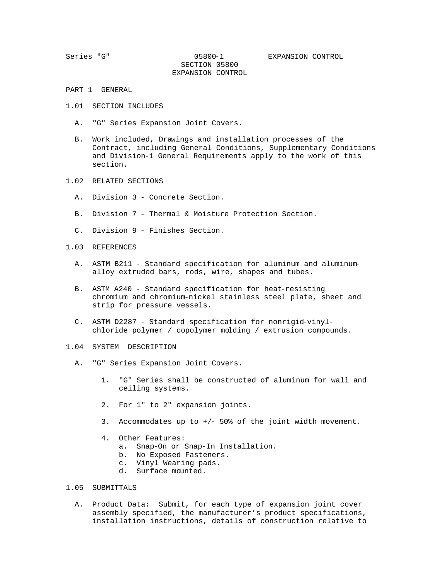SECTION 05800 EXPANSION CONTROL

- PART 1 GENERAL
- 1.01 SECTION INCLUDES
	- A. "G" Series Expansion Joint Covers.
	- B. Work included, Drawings and installation processes of the Contract, including General Conditions, Supplementary Conditions and Division-1 General Requirements apply to the work of this section.
- 1.02 RELATED SECTIONS
	- A. Division 3 Concrete Section.
	- B. Division 7 Thermal & Moisture Protection Section.
	- C. Division 9 Finishes Section.
- 1.03 REFERENCES
	- A. ASTM B211 Standard specification for aluminum and aluminum alloy extruded bars, rods, wire, shapes and tubes.
	- B. ASTM A240 Standard specification for heat-resisting chromium and chromium-nickel stainless steel plate, sheet and strip for pressure vessels.
	- C. ASTM D2287 Standard specification for nonrigid-vinyl chloride polymer / copolymer molding / extrusion compounds.
- 1.04 SYSTEM DESCRIPTION
	- A. "G" Series Expansion Joint Covers.
		- 1. "G" Series shall be constructed of aluminum for wall and ceiling systems.
		- 2. For 1" to 2" expansion joints.
		- 3. Accommodates up to +/- 50% of the joint width movement.
		- 4. Other Features:
			- a. Snap-On or Snap-In Installation.
			- b. No Exposed Fasteners.
			- c. Vinyl Wearing pads.
			- d. Surface mounted.

## 1.05 SUBMITTALS

 A. Product Data: Submit, for each type of expansion joint cover assembly specified, the manufacturer's product specifications, installation instructions, details of construction relative to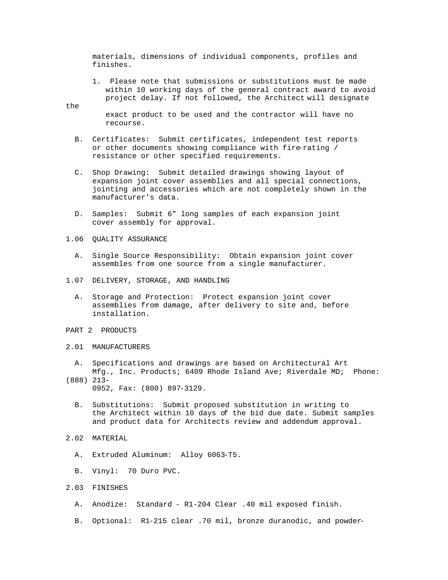materials, dimensions of individual components, profiles and finishes.

 1. Please note that submissions or substitutions must be made within 10 working days of the general contract award to avoid project delay. If not followed, the Architect will designate

#### the

 exact product to be used and the contractor will have no recourse.

- B. Certificates: Submit certificates, independent test reports or other documents showing compliance with fire-rating / resistance or other specified requirements.
- C. Shop Drawing: Submit detailed drawings showing layout of expansion joint cover assemblies and all special connections, jointing and accessories which are not completely shown in the manufacturer's data.
- D. Samples: Submit 6" long samples of each expansion joint cover assembly for approval.
- 1.06 QUALITY ASSURANCE
	- A. Single Source Responsibility: Obtain expansion joint cover assembles from one source from a single manufacturer.
- 1.07 DELIVERY, STORAGE, AND HANDLING
	- A. Storage and Protection: Protect expansion joint cover assemblies from damage, after delivery to site and, before installation.
- PART 2 PRODUCTS
- 2.01 MANUFACTURERS
	- A. Specifications and drawings are based on Architectural Art Mfg., Inc. Products; 6409 Rhode Island Ave; Riverdale MD; Phone:
- (888) 213- 0952, Fax: (800) 897-3129.
	- B. Substitutions: Submit proposed substitution in writing to the Architect within 10 days of the bid due date. Submit samples and product data for Architects review and addendum approval.
- 2.02 MATERIAL
	- A. Extruded Aluminum: Alloy 6063-T5.
	- B. Vinyl: 70 Duro PVC.
- 2.03 FINISHES
	- A. Anodize: Standard R1-204 Clear .40 mil exposed finish.
	- B. Optional: R1-215 clear .70 mil, bronze duranodic, and powder-